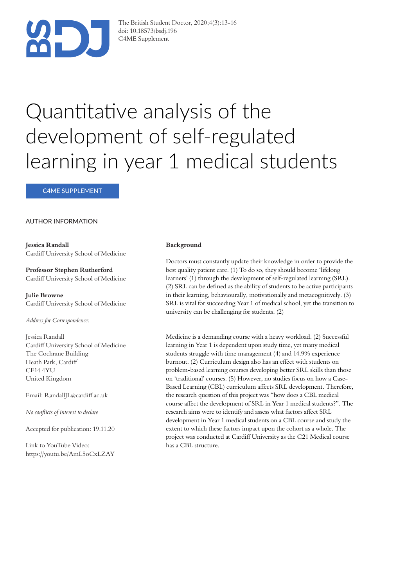

The British Student Doctor, 2020;4(3):13-16 doi: 10.18573/bsdj.196 C4ME Supplement

# Quantitative analysis of the development of self-regulated learning in year 1 medical students

C4ME SUPPLEMENT

#### AUTHOR INFORMATION

**Jessica Randall** Cardiff University School of Medicine

**Professor Stephen Rutherford** Cardiff University School of Medicine

**Julie Browne** Cardiff University School of Medicine

*Address for Correspondence:* 

Jessica Randall Cardiff University School of Medicine The Cochrane Building Heath Park, Cardiff CF14 4YU United Kingdom

Email: RandallJL@cardiff.ac.uk

*No con!icts of interest to declare* 

Accepted for publication: 19.11.20

Link to YouTube Video: https://youtu.be/AmL5oCxLZAY

#### **Background**

Doctors must constantly update their knowledge in order to provide the best quality patient care. (1) To do so, they should become 'lifelong learners' (1) through the development of self-regulated learning (SRL). (2) SRL can be defined as the ability of students to be active participants in their learning, behaviourally, motivationally and metacognitively. (3) SRL is vital for succeeding Year 1 of medical school, yet the transition to university can be challenging for students. (2)

Medicine is a demanding course with a heavy workload. (2) Successful learning in Year 1 is dependent upon study time, yet many medical students struggle with time management (4) and 14.9% experience burnout. (2) Curriculum design also has an effect with students on problem-based learning courses developing better SRL skills than those on 'traditional' courses. (5) However, no studies focus on how a Case-Based Learning (CBL) curriculum affects SRL development. Therefore, the research question of this project was "how does a CBL medical course affect the development of SRL in Year 1 medical students?". The research aims were to identify and assess what factors affect SRL development in Year 1 medical students on a CBL course and study the extent to which these factors impact upon the cohort as a whole. The project was conducted at Cardiff University as the C21 Medical course has a CBL structure.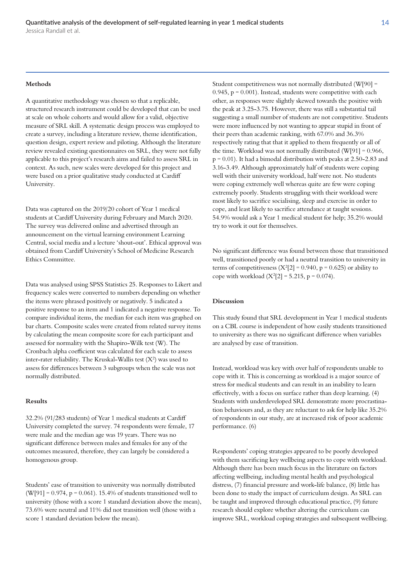#### **Methods**

A quantitative methodology was chosen so that a replicable, structured research instrument could be developed that can be used at scale on whole cohorts and would allow for a valid, objective measure of SRL skill. A systematic design process was employed to create a survey, including a literature review, theme identification, question design, expert review and piloting. Although the literature review revealed existing questionnaires on SRL, they were not fully applicable to this project's research aims and failed to assess SRL in context. As such, new scales were developed for this project and were based on a prior qualitative study conducted at Cardiff University.

Data was captured on the 2019/20 cohort of Year 1 medical students at Cardiff University during February and March 2020. The survey was delivered online and advertised through an announcement on the virtual learning environment Learning Central, social media and a lecture 'shout-out'. Ethical approval was obtained from Cardiff University's School of Medicine Research Ethics Committee.

Data was analysed using SPSS Statistics 25. Responses to Likert and frequency scales were converted to numbers depending on whether the items were phrased positively or negatively. 5 indicated a positive response to an item and 1 indicated a negative response. To compare individual items, the median for each item was graphed on bar charts. Composite scales were created from related survey items by calculating the mean composite score for each participant and assessed for normality with the Shapiro-Wilk test (W). The Cronbach alpha coefficient was calculated for each scale to assess inter-rater reliability. The Kruskal-Wallis test  $(X^2)$  was used to assess for differences between 3 subgroups when the scale was not normally distributed.

#### **Results**

 $32.2\%$  (91/283 students) of Year 1 medical students at Cardiff University completed the survey. 74 respondents were female, 17 were male and the median age was 19 years. There was no significant difference between males and females for any of the outcomes measured, therefore, they can largely be considered a homogenous group.

Students' ease of transition to university was normally distributed (W[91] =  $0.974$ , p =  $0.061$ ). 15.4% of students transitioned well to university (those with a score 1 standard deviation above the mean), 73.6% were neutral and 11% did not transition well (those with a score 1 standard deviation below the mean).

Student competitiveness was not normally distributed (W[90] =  $0.945$ ,  $p = 0.001$ ). Instead, students were competitive with each other, as responses were slightly skewed towards the positive with the peak at 3.25-3.75. However, there was still a substantial tail suggesting a small number of students are not competitive. Students were more influenced by not wanting to appear stupid in front of their peers than academic ranking, with 67.0% and 36.3% respectively rating that that it applied to them frequently or all of the time. Workload was not normally distributed  $(W[91] = 0.966$ ,  $p = 0.01$ ). It had a bimodal distribution with peaks at 2.50-2.83 and 3.16-3.49. Although approximately half of students were coping well with their university workload, half were not. No students were coping extremely well whereas quite are few were coping extremely poorly. Students struggling with their workload were most likely to sacrifice socialising, sleep and exercise in order to cope, and least likely to sacrifice attendance at taught sessions. 54.9% would ask a Year 1 medical student for help; 35.2% would try to work it out for themselves.

No significant difference was found between those that transitioned well, transitioned poorly or had a neutral transition to university in terms of competitiveness  $(X^2[2] = 0.940, p = 0.625)$  or ability to cope with workload  $(X^2[2] = 5.215, p = 0.074)$ .

#### **Discussion**

This study found that SRL development in Year 1 medical students on a CBL course is independent of how easily students transitioned to university as there was no significant difference when variables are analysed by ease of transition.

Instead, workload was key with over half of respondents unable to cope with it. This is concerning as workload is a major source of stress for medical students and can result in an inability to learn effectively, with a focus on surface rather than deep learning.  $(4)$ Students with underdeveloped SRL demonstrate more procrastination behaviours and, as they are reluctant to ask for help like 35.2% of respondents in our study, are at increased risk of poor academic performance. (6)

Respondents' coping strategies appeared to be poorly developed with them sacrificing key wellbeing aspects to cope with workload. Although there has been much focus in the literature on factors affecting wellbeing, including mental health and psychological distress, (7) financial pressure and work-life balance, (8) little has been done to study the impact of curriculum design. As SRL can be taught and improved through educational practice, (9) future research should explore whether altering the curriculum can improve SRL, workload coping strategies and subsequent wellbeing.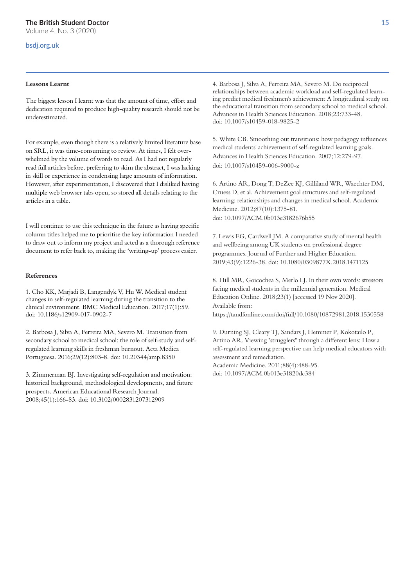### bsdj.org.uk

#### **Lessons Learnt**

The biggest lesson I learnt was that the amount of time, effort and dedication required to produce high-quality research should not be underestimated.

For example, even though there is a relatively limited literature base on SRL, it was time-consuming to review. At times, I felt overwhelmed by the volume of words to read. As I had not regularly read full articles before, preferring to skim the abstract, I was lacking in skill or experience in condensing large amounts of information. However, after experimentation, I discovered that I disliked having multiple web browser tabs open, so stored all details relating to the articles in a table.

I will continue to use this technique in the future as having specific column titles helped me to prioritise the key information I needed to draw out to inform my project and acted as a thorough reference document to refer back to, making the 'writing-up' process easier.

#### **References**

1. Cho KK, Marjadi B, Langendyk V, Hu W. Medical student changes in self-regulated learning during the transition to the clinical environment. BMC Medical Education. 2017;17(1):59. doi: 10.1186/s12909-017-0902-7

2. Barbosa J, Silva A, Ferreira MA, Severo M. Transition from secondary school to medical school: the role of self-study and selfregulated learning skills in freshman burnout. Acta Medica Portuguesa. 2016;29(12):803-8. doi: 10.20344/amp.8350

3. Zimmerman BJ. Investigating self-regulation and motivation: historical background, methodological developments, and future prospects. American Educational Research Journal. 2008;45(1):166-83. doi: 10.3102/0002831207312909

4. Barbosa J, Silva A, Ferreira MA, Severo M. Do reciprocal relationships between academic workload and self-regulated learning predict medical freshmen's achievement A longitudinal study on the educational transition from secondary school to medical school. Advances in Health Sciences Education. 2018;23:733-48. doi: 10.1007/s10459-018-9825-2

5. White CB. Smoothing out transitions: how pedagogy influences medical students' achievement of self-regulated learning goals. Advances in Health Sciences Education. 2007;12:279-97. doi: 10.1007/s10459-006-9000-z

6. Artino AR, Dong T, DeZee KJ, Gilliland WR, Waechter DM, Cruess D, et al. Achievement goal structures and self-regulated learning: relationships and changes in medical school. Academic Medicine. 2012;87(10):1375-81. doi: 10.1097/ACM.0b013e3182676b55

7. Lewis EG, Cardwell JM. A comparative study of mental health and wellbeing among UK students on professional degree programmes. Journal of Further and Higher Education. 2019;43(9):1226-38. doi: 10.1080/0309877X.2018.1471125

8. Hill MR, Goicochea S, Merlo LJ. In their own words: stressors facing medical students in the millennial generation. Medical Education Online. 2018;23(1) [accessed 19 Nov 2020]. Available from: https://tandfonline.com/doi/full/10.1080/10872981.2018.1530558

9. Durning SJ, Cleary TJ, Sandars J, Hemmer P, Kokotailo P, Artino AR. Viewing "strugglers" through a different lens: How a self-regulated learning perspective can help medical educators with assessment and remediation. Academic Medicine. 2011;88(4):488-95.

doi: 10.1097/ACM.0b013e31820dc384